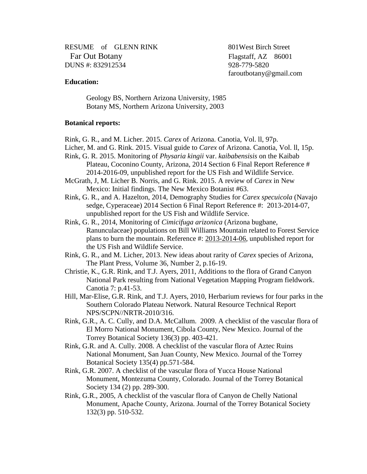RESUME of GLENN RINK 801West Birch Street Far Out Botany<br>
UNS #: 832912534<br>
928-779-5820 DUNS #: 832912534

[faroutbotany@gmail.com](mailto:glenn_rink@hotmail.com)

## **Education:**

Geology BS, Northern Arizona University, 1985 Botany MS, Northern Arizona University, 2003

## **Botanical reports:**

Rink, G. R., and M. Licher. 2015. *Carex* of Arizona. Canotia, Vol. ll, 97p.

- Licher, M. and G. Rink. 2015. Visual guide to *Carex* of Arizona. Canotia, Vol. ll, 15p.
- Rink, G. R. 2015. Monitoring of *Physaria kingii* var. *kaibabensisis* on the Kaibab Plateau, Coconino County, Arizona, 2014 Section 6 Final Report Reference # 2014-2016-09, unpublished report for the US Fish and Wildlife Service.
- McGrath, J, M. Licher B. Norris, and G. Rink. 2015. A review of *Carex* in New Mexico: Initial findings. The New Mexico Botanist #63.
- Rink, G. R., and A. Hazelton, 2014, Demography Studies for *Carex specuicola* (Navajo sedge, Cyperaceae) 2014 Section 6 Final Report Reference #: 2013-2014-07, unpublished report for the US Fish and Wildlife Service.
- Rink, G. R., 2014, Monitoring of *Cimicifuga arizonica* (Arizona bugbane, Ranunculaceae) populations on Bill Williams Mountain related to Forest Service plans to burn the mountain. Reference #: [2013-2014-06,](tel:2013-2014-06) unpublished report for the US Fish and Wildlife Service.
- Rink, G. R., and M. Licher, 2013. New ideas about rarity of *Carex* species of Arizona, The Plant Press, Volume 36, Number 2, p.16-19.
- Christie, K., G.R. Rink, and T.J. Ayers, 2011, Additions to the flora of Grand Canyon National Park resulting from National Vegetation Mapping Program fieldwork. Canotia 7: p.41-53.
- Hill, Mar-Elise, G.R. Rink, and T.J. Ayers, 2010, Herbarium reviews for four parks in the Southern Colorado Plateau Network. Natural Resource Technical Report NPS/SCPN//NRTR-2010/316.
- Rink, G.R., A. C. Cully, and D.A. McCallum. 2009. A checklist of the vascular flora of El Morro National Monument, Cibola County, New Mexico. Journal of the Torrey Botanical Society 136(3) pp. 403-421.
- Rink, G.R. and A. Cully. 2008. A checklist of the vascular flora of Aztec Ruins National Monument, San Juan County, New Mexico. Journal of the Torrey Botanical Society 135(4) pp.571-584.
- Rink, G.R. 2007. A checklist of the vascular flora of Yucca House National Monument, Montezuma County, Colorado. Journal of the Torrey Botanical Society 134 (2) pp. 289-300.
- Rink, G.R., 2005, A checklist of the vascular flora of Canyon de Chelly National Monument, Apache County, Arizona. Journal of the Torrey Botanical Society 132(3) pp. 510-532.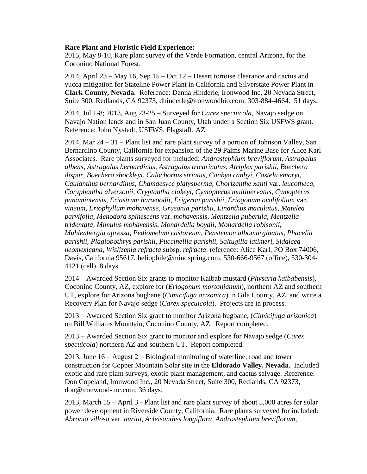## **Rare Plant and Floristic Field Experience:**

2015, May 8-10, Rare plant survey of the Verde Formation, central Arizona, for the Coconino National Forest.

2014, April 23 – May 16, Sep 15 – Oct 12 – Desert tortoise clearance and cactus and yucca mitigation for Stateline Power Plant in California and Silverstate Power Plant in **Clark County, Nevada**. Reference: Danna Hinderle, Ironwood Inc, 20 Nevada Street, Suite 300, Redlands, CA 92373, [dhinderle@ironwoodbio.com,](mailto:dninderle@ironwoodbio.com) 303-884-4664. 51 days.

2014, Jul 1-8; 2013, Aug 23-25 – Surveyed for *Carex specuicola*, Navajo sedge on Navajo Nation lands and in San Juan County, Utah under a Section Six USFWS grant. Reference: John Nystedt, USFWS, Flagstaff, AZ,

2014, Mar 24 – 31 – Plant list and rare plant survey of a portion of Johnson Valley, San Bernardino County, California for expansion of the 29 Palms Marine Base for Alice Karl Associates. Rare plants surveyed for included: *Androstephium breviflorum*, *Astragalus albens*, *Astragalus bernardinus*, *Astragalus tricarinatus, Atriplex parishii, Boechera dispar, Boechera shockleyi, Calochortus striatus, Canbya canbyi, Castela emoryi*, *Caulanthus bernardinus*, *Chamaesyce platysperma, Chorizanthe xanti* var. *leucotheca, Coryphantha alversonii, Cryptantha clokeyi, Cymopterus multinervatus, Cymopterus panamintensis*, *Eriastrum harwoodii*, *Erigeron parishii, Eriogonum ovalifolium* var. *vineum, Eriophyllum mohavense, Grusonia parishii, Linanthus maculatus*, *Matelea parvifolia, Menodora spinescens* var. *mohavensis, Mentzelia puberula, Mentzelia tridentata, Mimulus mohavensis, Monardella boydii, Monardella robisonii, Muhlenbergia apressa, Pediomelum castoreum, Penstemon albomarginatus, Phacelia parishii, Plagiobothrys parishii, Puccinellia parishii, Saltugilia latimeri, Sidalcea neomexicana, Wislizenia refracta* subsp. *refracta*. reference: Alice Karl, PO Box 74006, Davis, California 95617, [heliophile@mindspring.com,](mailto:heliophile@mindspring.com) 530-666-9567 (office), 530-304- 4121 (cell). 8 days.

2014 – Awarded Section Six grants to monitor Kaibab mustard (*Physaria kaibabensis*), Coconino County, AZ, explore for (*Eriogonum mortonianum*), northern AZ and southern UT, explore for Arizona bugbane (*Cimicifuga arizonica*) in Gila County, AZ, and write a Recovery Plan for Navajo sedge (*Carex specuicola*). Projects are in process.

2013 – Awarded Section Six grant to monitor Arizona bugbane, (*Cimicifuga arizonica*) on Bill Williams Mountain, Coconino County, AZ. Report completed.

2013 – Awarded Section Six grant to monitor and explore for Navajo sedge (*Carex specuicola*) northern AZ and southern UT. Report completed.

2013, June 16 – August 2 – Biological monitoring of waterline, road and tower construction for Copper Mountain Solar site in the **Eldorado Valley, Nevada**. Included exotic and rare plant surveys, exotic plant management, and cactus salvage. Reference: Don Copeland, Ironwood Inc., 20 Nevada Street, Suite 300, Redlands, CA 92373, [don@ironwood-inc.com.](mailto:don@ironwood-inc.com) 36 days.

2013, March 15 – April 3 - Plant list and rare plant survey of about 5,000 acres for solar power development in Riverside County, California. Rare plants surveyed for included: *Abronia villosa* var*. aurita, Acleisanthes longiflora*, *Androstephium breviflorum*,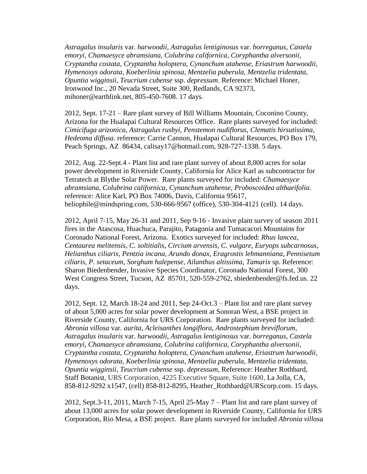*Astragalus insularis* var. *harwoodii*, *Astragalus lentiginosus* var. *borreganus*, *Castela emoryi*, *Chamaesyce abramsiana, Colubrina californica, Coryphantha alversonii, Cryptantha costata*, *Cryptantha holoptera*, *Cynanchum utahense*, *Eriastrum harwoodii*, *Hymenoxys odorata, Koeberlinia spinosa*, *Mentzelia puberula, Mentzelia tridentata*, *Opuntia wigginsii, Teucrium cubense* ssp. *depressum*. Reference: Michael Honer, Ironwood Inc., 20 Nevada Street, Suite 300, Redlands, CA 92373, [mihoner@earthlink.net,](mailto:mihoner@earthlink.net) 805-450-7608. 17 days.

2012, Sept. 17-21 – Rare plant survey of Bill Williams Mountain, Coconino County, Arizona for the Hualapai Cultural Resources Office. Rare plants surveyed for included: *Cimicifuga arizonica, Astragalus rusbyi, Penstemon nudiflorus, Clematis hirsutissima, Hedeoma diffusa*. reference: Carrie Cannon, Hualapai Cultural Resources, PO Box 179, Peach Springs, AZ 86434, [calisay17@hotmail.com,](mailto:calisay17@hotmail.com) 928-727-1338. 5 days.

2012, Aug. 22-Sept.4 - Plant list and rare plant survey of about 8,000 acres for solar power development in Riverside County, California for Alice Karl as subcontractor for Tetratech at Blythe Solar Power. Rare plants surveyed for included: *Chamaesyce abramsiana, Colubrina californica, Cynanchum utahense*, *Proboscoidea althaeifolia.* reference: Alice Karl, PO Box 74006, Davis, California 95617, [heliophile@mindspring.com,](mailto:heliophile@mindspring.com) 530-666-9567 (office), 530-304-4121 (cell). 14 days.

2012, April 7-15, May 26-31 and 2011, Sep 9-16 - Invasive plant survey of season 2011 fires in the Atascosa, Huachuca, Parajito, Patagonia and Tumacacori Mountains for Coronado National Forest, Arizona. Exotics surveyed for included: *Rhus lancea*, *Centaurea melitensis*, *C. soltitialis*, *Circium arvensis*, *C. vulgare*, *Euryops subcarnosus*, *Helianthus ciliaris*, *Pentzia incana*, *Arundo donax*, *Eragrostis lehmanniana*, *Pennisetum ciliaris*, *P. setaceum*, *Sorghum halepense*, *Ailanthus altissima*, *Tamarix* sp. Reference: Sharon Biedenbender, Invasive Species Coordinator, Coronado National Forest, 300 West Congress Street, Tucson, AZ 85701, 520-559-2762, [sbiedenbender@fs.fed.us.](mailto:sbiedenbender@fs.fed.us) 22 days.

2012, Sept. 12, March 18-24 and 2011, Sep 24-Oct.3 – Plant list and rare plant survey of about 5,000 acres for solar power development at Sonoran West, a BSE project in Riverside County, California for URS Corporation. Rare plants surveyed for included: *Abronia villosa* var*. aurita, Acleisanthes longiflora*, *Androstephium breviflorum*, *Astragalus insularis* var. *harwoodii*, *Astragalus lentiginosus* var. *borreganus*, *Castela emoryi*, *Chamaesyce abramsiana, Colubrina californica, Coryphantha alversonii, Cryptantha costata*, *Cryptantha holoptera*, *Cynanchum utahense*, *Eriastrum harwoodii*, *Hymenoxys odorata, Koeberlinia spinosa*, *Mentzelia puberula, Mentzelia tridentata*, *Opuntia wigginsii, Teucrium cubense* ssp. *depressum,* Reference: Heather Rothbard, Staff Botanist, URS Corporation, 4225 Executive Square, Suite 1600, La Jolla, CA, 858-812-9292 x1547, (cell) 858-812-8295, Heather\_Rothbard@URScorp.com. 15 days.

2012, Sept.3-11, 2011, March 7-15, April 25-May 7 – Plant list and rare plant survey of about 13,000 acres for solar power development in Riverside County, California for URS Corporation, Rio Mesa, a BSE project. Rare plants surveyed for included *Abronia villosa*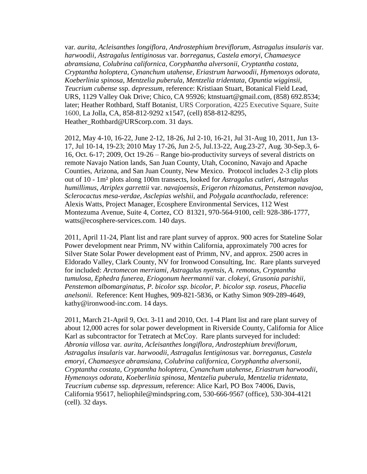var*. aurita, Acleisanthes longiflora*, *Androstephium breviflorum*, *Astragalus insularis* var. *harwoodii*, *Astragalus lentiginosus* var. *borreganus*, *Castela emoryi*, *Chamaesyce abramsiana, Colubrina californica, Coryphantha alversonii, Cryptantha costata*, *Cryptantha holoptera*, *Cynanchum utahense*, *Eriastrum harwoodii*, *Hymenoxys odorata, Koeberlinia spinosa*, *Mentzelia puberula, Mentzelia tridentata*, *Opuntia wigginsii, Teucrium cubense* ssp. *depressum,* reference: Kristiaan Stuart, Botanical Field Lead, URS, 1129 Valley Oak Drive; Chico, CA 95926; ktnstuart@gmail.com, [\(858\) 692.8534;](tel:%28858%29%20692.8534) later; Heather Rothbard, Staff Botanist, URS Corporation, 4225 Executive Square, Suite 1600, La Jolla, CA, 858-812-9292 x1547, (cell) 858-812-8295, Heather\_Rothbard@URScorp.com. 31 days.

2012, May 4-10, 16-22, June 2-12, 18-26, Jul 2-10, 16-21, Jul 31-Aug 10, 2011, Jun 13- 17, Jul 10-14, 19-23; 2010 May 17-26, Jun 2-5, Jul.13-22, Aug.23-27, Aug. 30-Sep.3, 6- 16, Oct. 6-17; 2009, Oct 19-26 – Range bio-productivity surveys of several districts on remote Navajo Nation lands, San Juan County, Utah, Coconino, Navajo and Apache Counties, Arizona, and San Juan County, New Mexico. Protocol includes 2-3 clip plots out of 10 - 1m² plots along 100m transects, looked for *Astragalus cutleri*, *Astragalus humillimus*, *Atriplex garrettii* var. *navajoensis*, *Erigeron rhizomatus*, *Penstemon navajoa*, *Sclerocactus mesa-verdae*, *Asclepias welshii*, and *Polygala acanthoclada,* reference: Alexis Watts, Project Manager, Ecosphere Environmental Services, 112 West Montezuma Avenue, Suite 4, Cortez, CO 81321, 970-564-9100, cell: 928-386-1777, [watts@ecosphere-services.com.](mailto:watts@ecosphere-services.com) 140 days.

2011, April 11-24, Plant list and rare plant survey of approx. 900 acres for Stateline Solar Power development near Primm, NV within California, approximately 700 acres for Silver State Solar Power development east of Primm, NV, and approx. 2500 acres in Eldorado Valley, Clark County, NV for Ironwood Consulting, Inc. Rare plants surveyed for included: *Arctomecon merriami*, *Astragalus nyensis*, *A. remotus, Cryptantha tumulosa, Ephedra funerea, Eriogonum heermannii* var. *clokeyi, Grusonia parishii, Penstemon albomarginatus, P. bicolor ssp. bicolor, P. bicolor ssp. roseus, Phacelia anelsonii*. Reference: Kent Hughes, 909-821-5836, or Kathy Simon 909-289-4649, kathy@ironwood-inc.com. 14 days.

2011, March 21-April 9, Oct. 3-11 and 2010, Oct. 1-4 Plant list and rare plant survey of about 12,000 acres for solar power development in Riverside County, California for Alice Karl as subcontractor for Tetratech at McCoy. Rare plants surveyed for included: *Abronia villosa* var*. aurita, Acleisanthes longiflora*, *Androstephium breviflorum*, *Astragalus insularis* var. *harwoodii*, *Astragalus lentiginosus* var. *borreganus*, *Castela emoryi*, *Chamaesyce abramsiana, Colubrina californica, Coryphantha alversonii, Cryptantha costata*, *Cryptantha holoptera*, *Cynanchum utahense*, *Eriastrum harwoodii*, *Hymenoxys odorata, Koeberlinia spinosa*, *Mentzelia puberula, Mentzelia tridentata*, *Teucrium cubense* ssp. *depressum,* reference: Alice Karl, PO Box 74006, Davis, California 95617, [heliophile@mindspring.com,](mailto:heliophile@mindspring.com) 530-666-9567 (office), 530-304-4121 (cell). 32 days.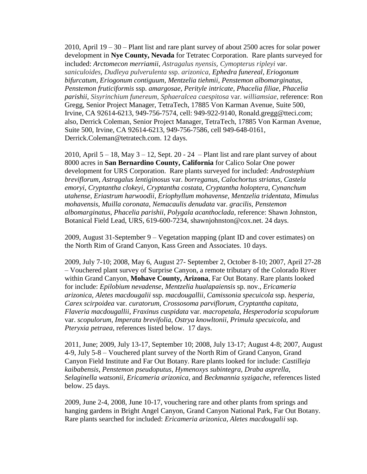2010, April 19 – 30 – Plant list and rare plant survey of about 2500 acres for solar power development in **Nye County, Nevada** for Tetratec Corporation. Rare plants surveyed for included: *Arctomecon merriamii*, *Astragalus nyensis*, *Cymopterus ripleyi* var. *saniculoides*, *Dudleya pulverulenta* ssp. *arizonica*, *Ephedra funereal, Eriogonum bifurcatum*, *Eriogonum contiguum*, *Mentzelia tiehmii, Penstemon albomarginatus*, *Penstemon fruticiformis* ssp. *amargosae*, *Perityle intricate, Phacelia filiae, Phacelia parishii, Sisyrinchium funereum, Sphaeralcea caespitosa* var. *williamsiae*, reference: Ron Gregg, Senior Project Manager, TetraTech, 17885 Von Karman Avenue, Suite 500, Irvine, CA 92614-6213, 949-756-7574, cell: 949-922-9140, [Ronald.gregg@tteci.com;](mailto:Ronald.gregg@tteci.com) also, Derrick Coleman, Senior Project Manager, TetraTech, 17885 Von Karman Avenue, Suite 500, Irvine, CA 92614-6213, 949-756-7586, cell 949-648-0161, [Derrick.Coleman@tetratech.com.](mailto:Derrick.Coleman@tetratech.com) 12 days.

2010, April  $5 - 18$ , May  $3 - 12$ , Sept. 20 - 24 – Plant list and rare plant survey of about 8000 acres in **San Bernardino County, California** for Calico Solar One power development for URS Corporation. Rare plants surveyed for included: *Androstephium breviflorum*, *Astragalus lentiginosus* var. *borreganus*, *Calochortus striatus*, *Castela emoryi*, *Cryptantha clokeyi*, *Cryptantha costata*, *Cryptantha holoptera*, *Cynanchum utahense*, *Eriastrum harwoodii*, *Eriophyllum mohavense*, *Mentzelia tridentata*, *Mimulus mohavensis*, *Muilla coronata*, *Nemacaulis denudata* var. *gracilis*, *Penstemon albomarginatus*, *Phacelia parishii*, *Polygala acanthoclada*, reference: Shawn Johnston, Botanical Field Lead, URS, 619-600-7234, shawnjohnston@cox.net. 24 days.

2009, August 31-September 9 – Vegetation mapping (plant ID and cover estimates) on the North Rim of Grand Canyon, Kass Green and Associates. 10 days.

2009, July 7-10; 2008, May 6, August 27- September 2, October 8-10; 2007, April 27-28 – Vouchered plant survey of Surprise Canyon, a remote tributary of the Colorado River within Grand Canyon, **Mohave County, Arizona**, Far Out Botany. Rare plants looked for include: *Epilobium nevadense*, *Mentzelia hualapaiensis* sp. nov., *Ericameria arizonica*, *Aletes macdougalii* ssp. *macdougallii*, *Camissonia specuicola* ssp. *hesperia*, *Carex scirpoidea* var. *curatorum*, *Crossosoma parviflorum*, *Cryptantha capitata*, *Flaveria macdougallii*, *Fraxinus cuspidata* var. *macropetala*, *Hesperodoria scopulorum* var. *scopulorum*, *Imperata brevifolia*, *Ostrya knowltonii*, *Primula specuicola*, and *Pteryxia petraea*, references listed below. 17 days.

2011, June; 2009, July 13-17, September 10; 2008, July 13-17; August 4-8; 2007, August 4-9, July 5-8 – Vouchered plant survey of the North Rim of Grand Canyon, Grand Canyon Field Institute and Far Out Botany. Rare plants looked for include: *Castilleja kaibabensis*, *Penstemon pseudoputus*, *Hymenoxys subintegra*, *Draba asprella*, *Selaginella watsonii*, *Ericameria arizonica*, and *Beckmannia syzigache*, references listed below. 25 days.

2009, June 2-4, 2008, June 10-17, vouchering rare and other plants from springs and hanging gardens in Bright Angel Canyon, Grand Canyon National Park, Far Out Botany. Rare plants searched for included: *Ericameria arizonica*, *Aletes macdougalii* ssp.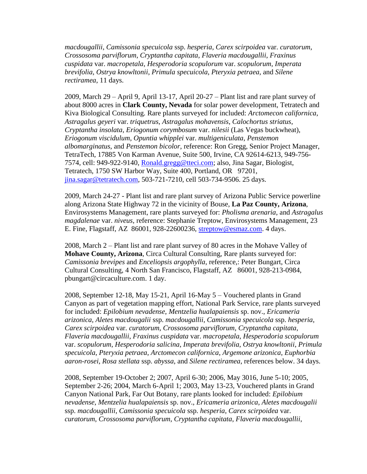*macdougallii*, *Camissonia specuicola* ssp. *hesperia*, *Carex scirpoidea* var. *curatorum*, *Crossosoma parviflorum*, *Cryptantha capitata*, *Flaveria macdougallii*, *Fraxinus cuspidata* var. *macropetala*, *Hesperodoria scopulorum* var. *scopulorum*, *Imperata brevifolia*, *Ostrya knowltonii*, *Primula specuicola*, *Pteryxia petraea*, and *Silene rectiramea*, 11 days.

2009, March 29 – April 9, April 13-17, April 20-27 – Plant list and rare plant survey of about 8000 acres in **Clark County, Nevada** for solar power development, Tetratech and Kiva Biological Consulting. Rare plants surveyed for included: *Arctomecon californica*, *Astragalus geyeri* var. *triquetrus*, *Astragalus mohavensis*, *Calochortus striatus*, *Cryptantha insolata*, *Eriogonum corymbosum* var. *nilesii* (Las Vegas buckwheat), *Eriogonum viscidulum*, *Opuntia whipplei* var. *multigeniculata*, *Penstemon albomarginatus*, and *Penstemon bicolor*, reference: Ron Gregg, Senior Project Manager, TetraTech, 17885 Von Karman Avenue, Suite 500, Irvine, CA 92614-6213, 949-756- 7574, cell: 949-922-9140, [Ronald.gregg@tteci.com;](mailto:Ronald.gregg@tteci.com) also, Jina Sagar, Biologist, Tetratech, 1750 SW Harbor Way, Suite 400, Portland, OR 97201, [jina.sagar@tetratech.com,](mailto:jina.sagar@tetratech.com) 503-721-7210, cell 503-734-9506. 25 days.

2009, March 24-27 - Plant list and rare plant survey of Arizona Public Service powerline along Arizona State Highway 72 in the vicinity of Bouse, **La Paz County, Arizona**, Envirosystems Management, rare plants surveyed for: *Pholisma arenaria*, and *Astragalus magdalenae* var. *niveus*, reference: Stephanie Treptow, Envirosystems Management, 23 E. Fine, Flagstaff, AZ 86001, 928-22600236, [streptow@esmaz.com.](mailto:streptow@esmaz.com) 4 days.

2008, March 2 – Plant list and rare plant survey of 80 acres in the Mohave Valley of **Mohave County, Arizona**, Circa Cultural Consulting, Rare plants surveyed for: *Camissonia brevipes* and *Enceliopsis argophylla*, reference,: Peter Bungart, Circa Cultural Consulting, 4 North San Francisco, Flagstaff, AZ 86001, 928-213-0984, pbungart@circaculture.com. 1 day.

2008, September 12-18, May 15-21, April 16-May 5 – Vouchered plants in Grand Canyon as part of vegetation mapping effort, National Park Service, rare plants surveyed for included: *Epilobium nevadense*, *Mentzelia hualapaiensis* sp. nov., *Ericameria arizonica*, *Aletes macdougalii* ssp. *macdougallii*, *Camissonia specuicola* ssp. *hesperia*, *Carex scirpoidea* var. *curatorum*, *Crossosoma parviflorum*, *Cryptantha capitata*, *Flaveria macdougallii*, *Fraxinus cuspidata* var. *macropetala*, *Hesperodoria scopulorum* var. *scopulorum*, *Hesperodoria salicina*, *Imperata brevifolia*, *Ostrya knowltonii*, *Primula specuicola*, *Pteryxia petraea*, *Arctomecon californica*, *Argemone arizonica*, *Euphorbia aaron-rosei*, *Rosa stellata* ssp. *abyssa*, and *Silene rectiramea*, references below. 34 days.

2008, September 19-October 2; 2007, April 6-30; 2006, May 3016, June 5-10; 2005, September 2-26; 2004, March 6-April 1; 2003, May 13-23, Vouchered plants in Grand Canyon National Park, Far Out Botany, rare plants looked for included: *Epilobium nevadense*, *Mentzelia hualapaiensis* sp. nov., *Ericameria arizonica*, *Aletes macdougalii* ssp. *macdougallii*, *Camissonia specuicola* ssp. *hesperia*, *Carex scirpoidea* var. *curatorum*, *Crossosoma parviflorum*, *Cryptantha capitata*, *Flaveria macdougallii*,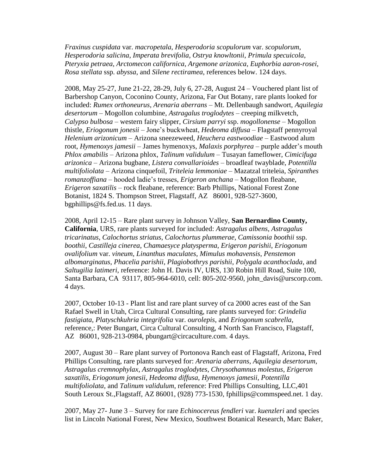*Fraxinus cuspidata* var. *macropetala*, *Hesperodoria scopulorum* var. *scopulorum*, *Hesperodoria salicina*, *Imperata brevifolia*, *Ostrya knowltonii*, *Primula specuicola*, *Pteryxia petraea*, *Arctomecon californica*, *Argemone arizonica*, *Euphorbia aaron-rosei*, *Rosa stellata* ssp. *abyssa*, and *Silene rectiramea*, references below. 124 days.

2008, May 25-27, June 21-22, 28-29, July 6, 27-28, August 24 – Vouchered plant list of Barbershop Canyon, Coconino County, Arizona, Far Out Botany, rare plants looked for included: *Rumex orthoneurus*, *Arenaria aberrans* – Mt. Dellenbaugh sandwort, *Aquilegia desertorum* – Mogollon columbine, *Astragalus troglodytes* – creeping milkvetch, *Calypso bulbosa* – western fairy slipper, *Cirsium parryi* ssp. *mogollonense* – Mogollon thistle, *Eriogonum jonesii* – Jone's buckwheat, *Hedeoma diffusa* – Flagstaff pennyroyal *Helenium arizonicum* – Arizona sneezeweed, *Heuchera eastwoodiae* – Eastwood alum root, *Hymenoxys jamesii* – James hymenoxys, *Malaxis porphyrea* – purple adder's mouth *Phlox amabilis* – Arizona phlox, *Talinum validulum* – Tusayan fameflower, *Cimicifuga arizonica* – Arizona bugbane, *Listera convallarioides* – broadleaf twayblade, *Potentilla multifoliolata* – Arizona cinquefoil, *Triteleia lemmoniae* – Mazatzal triteleia, *Spiranthes romanzoffiana* – hooded ladie's tresses, *Erigeron anchana* – Mogollon fleabane, *Erigeron saxatilis* – rock fleabane, reference: Barb Phillips, National Forest Zone Botanist, 1824 S. Thompson Street, Flagstaff, AZ 86001, 928-527-3600, bgphillips@fs.fed.us. 11 days.

2008, April 12-15 – Rare plant survey in Johnson Valley, **San Bernardino County, California**, URS, rare plants surveyed for included: *Astragalus albens*, *Astragalus tricarinatus*, *Calochortus striatus*, *Calochortus plummerae*, *Camissonia boothii* ssp. *boothii*, *Castilleja cinerea*, *Chamaesyce platysperma*, *Erigeron parishii*, *Eriogonum ovalifolium* var. *vineum*, *Linanthus maculates*, *Mimulus mohavensis*, *Penstemon albomarginatus*, *Phacelia parishii*, *Plagiobothrys parishii*, *Polygala acanthoclada*, and *Saltugilia latimeri*, reference: John H. Davis IV, URS, 130 Robin Hill Road, Suite 100, Santa Barbara, CA 93117, 805-964-6010, cell: 805-202-9560, john\_davis@urscorp.com. 4 days.

2007, October 10-13 - Plant list and rare plant survey of ca 2000 acres east of the San Rafael Swell in Utah, Circa Cultural Consulting, rare plants surveyed for: *Grindelia fastigiata*, *Platyschkuhria integrifolia* var. *ourolepis*, and *Eriogonum scabrella*, reference,: Peter Bungart, Circa Cultural Consulting, 4 North San Francisco, Flagstaff, AZ 86001, 928-213-0984, pbungart@circaculture.com. 4 days.

2007, August 30 – Rare plant survey of Portonova Ranch east of Flagstaff, Arizona, Fred Phillips Consulting, rare plants surveyed for: *Arenaria aberrans*, *Aquilegia desertorum*, *Astragalus cremnophylax*, *Astragalus troglodytes*, *Chrysothamnus molestus*, *Erigeron saxatilis*, *Eriogonum jonesii*, *Hedeoma diffusa*, *Hymenoxys jamesii*, *Potentilla multifoliolata,* and *Talinum validulum*, reference: Fred Phillips Consulting, LLC,401 South Leroux St.,Flagstaff, AZ 86001, (928) 773-1530, fphillips@commspeed.net. 1 day.

2007, May 27- June 3 – Survey for rare *Echinocereus fendleri* var. *kuenzleri* and species list in Lincoln National Forest, New Mexico, Southwest Botanical Research, Marc Baker,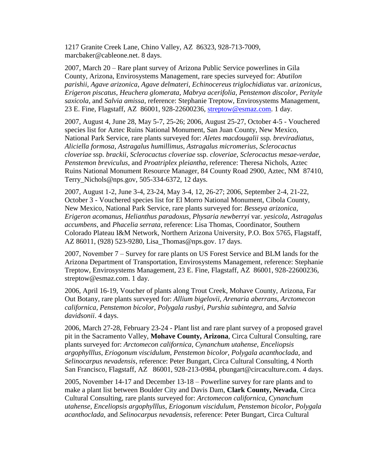1217 Granite Creek Lane, Chino Valley, AZ 86323, 928-713-7009, marcbaker@cableone.net. 8 days.

2007, March 20 – Rare plant survey of Arizona Public Service powerlines in Gila County, Arizona, Envirosystems Management, rare species surveyed for: *Abutilon parishii*, *Agave arizonica*, *Agave delmateri*, *Echinocereus triglochidiatus* var. *arizonicus*, *Erigeron piscatus*, *Heuchera glomerata*, *Mabrya acerifolia*, *Penstemon discolor*, *Perityle saxicola*, and *Salvia amissa*, reference: Stephanie Treptow, Envirosystems Management, 23 E. Fine, Flagstaff, AZ 86001, 928-22600236, [streptow@esmaz.com.](mailto:streptow@esmaz.com) 1 day.

2007, August 4, June 28, May 5-7, 25-26; 2006, August 25-27, October 4-5 - Vouchered species list for Aztec Ruins National Monument, San Juan County, New Mexico, National Park Service, rare plants surveyed for: *Aletes macdougalii* ssp. *breviradiatus*, *Aliciella formosa*, *Astragalus humillimus*, *Astragalus micromerius*, *Sclerocactus cloveriae* ssp. *brackii*, *Sclerocactus cloveriae* ssp. *cloveriae*, *Sclerocactus mesae-verdae*, *Penstemon breviculus*, and *Proatriplex pleiantha*, reference: Theresa Nichols, Aztec Ruins National Monument Resource Manager, 84 County Road 2900, Aztec, NM 87410, Terry Nichols@nps.gov, 505-334-6372, 12 days.

2007, August 1-2, June 3-4, 23-24, May 3-4, 12, 26-27; 2006, September 2-4, 21-22, October 3 - Vouchered species list for El Morro National Monument, Cibola County, New Mexico, National Park Service, rare plants surveyed for: *Besseya arizonica*, *Erigeron acomanus*, *Helianthus paradoxus*, *Physaria newberryi* var. *yesicola*, *Astragalus accumbens*, and *Phacelia serrata*, reference: Lisa Thomas, Coordinator, Southern Colorado Plateau I&M Network, Northern Arizona University, P.O. Box 5765, Flagstaff, AZ 86011, (928) 523-9280, Lisa\_Thomas@nps.gov. 17 days.

2007, November 7 – Survey for rare plants on US Forest Service and BLM lands for the Arizona Department of Transportation, Envirosystems Management, reference: Stephanie Treptow, Envirosystems Management, 23 E. Fine, Flagstaff, AZ 86001, 928-22600236, [streptow@esmaz.com.](mailto:streptow@esmaz.com) 1 day.

2006, April 16-19, Voucher of plants along Trout Creek, Mohave County, Arizona, Far Out Botany, rare plants surveyed for: *Allium bigelovii*, *Arenaria aberrans*, *Arctomecon californica*, *Penstemon bicolor*, *Polygala rusbyi*, *Purshia subintegra*, and *Salvia davidsonii*. 4 days.

2006, March 27-28, February 23-24 - Plant list and rare plant survey of a proposed gravel pit in the Sacramento Valley, **Mohave County, Arizona**, Circa Cultural Consulting, rare plants surveyed for: *Arctomecon californica*, *Cynanchum utahense*, *Enceliopsis argophylllus*, *Eriogonum viscidulum*, *Penstemon bicolor*, *Polygala acanthoclada*, and *Selinocarpus nevadensis*, reference: Peter Bungart, Circa Cultural Consulting, 4 North San Francisco, Flagstaff, AZ 86001, 928-213-0984, pbungart@circaculture.com. 4 days.

2005, November 14-17 and December 13-18 – Powerline survey for rare plants and to make a plant list between Boulder City and Davis Dam, **Clark County, Nevada**, Circa Cultural Consulting, rare plants surveyed for: *Arctomecon californica*, *Cynanchum utahense*, *Enceliopsis argophylllus*, *Eriogonum viscidulum*, *Penstemon bicolor*, *Polygala acanthoclada*, and *Selinocarpus nevadensis*, reference: Peter Bungart, Circa Cultural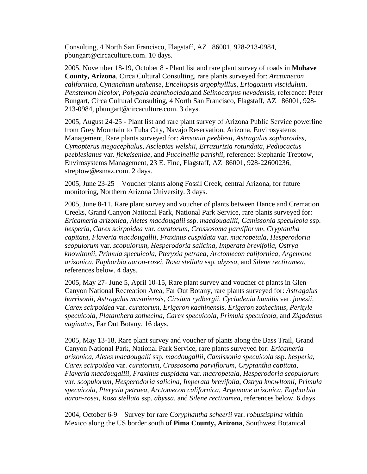Consulting, 4 North San Francisco, Flagstaff, AZ 86001, 928-213-0984, pbungart@circaculture.com. 10 days.

2005, November 18-19, October 8 - Plant list and rare plant survey of roads in **Mohave County, Arizona**, Circa Cultural Consulting, rare plants surveyed for: *Arctomecon californica*, *Cynanchum utahense*, *Enceliopsis argophylllus*, *Eriogonum viscidulum*, *Penstemon bicolor*, *Polygala acanthoclada,*and *Selinocarpus nevadensis*, reference: Peter Bungart, Circa Cultural Consulting, 4 North San Francisco, Flagstaff, AZ 86001, 928- 213-0984, pbungart@circaculture.com. 3 days.

2005, August 24-25 - Plant list and rare plant survey of Arizona Public Service powerline from Grey Mountain to Tuba City, Navajo Reservation, Arizona, Envirosystems Management, Rare plants surveyed for: *Amsonia peeblesii*, *Astragalus sophoroides*, *Cymopterus megacephalus*, *Asclepias welshii*, *Errazurizia rotundata*, *Pediocactus peeblesianus* var. *fickeiseniae*, and *Puccinellia parishii*, reference: Stephanie Treptow, Envirosystems Management, 23 E. Fine, Flagstaff, AZ 86001, 928-22600236, [streptow@esmaz.com.](mailto:streptow@esmaz.com) 2 days.

2005, June 23-25 – Voucher plants along Fossil Creek, central Arizona, for future monitoring, Northern Arizona University. 3 days.

2005, June 8-11, Rare plant survey and voucher of plants between Hance and Cremation Creeks, Grand Canyon National Park, National Park Service, rare plants surveyed for: *Ericameria arizonica*, *Aletes macdougalii* ssp. *macdougallii*, *Camissonia specuicola* ssp. *hesperia*, *Carex scirpoidea* var. *curatorum*, *Crossosoma parviflorum*, *Cryptantha capitata*, *Flaveria macdougallii*, *Fraxinus cuspidata* var. *macropetala*, *Hesperodoria scopulorum* var. *scopulorum*, *Hesperodoria salicina*, *Imperata brevifolia*, *Ostrya knowltonii*, *Primula specuicola*, *Pteryxia petraea*, *Arctomecon californica*, *Argemone arizonica*, *Euphorbia aaron-rosei*, *Rosa stellata* ssp. *abyssa*, and *Silene rectiramea*, references below. 4 days.

2005, May 27- June 5, April 10-15, Rare plant survey and voucher of plants in Glen Canyon National Recreation Area, Far Out Botany, rare plants surveyed for: *Astragalus harrisonii*, *Astragalus musiniensis*, *Cirsium rydbergii*, *Cycladenia humilis* var. *jonesii*, *Carex scirpoidea* var. *curatorum*, *Erigeron kachinensis*, *Erigeron zothecinus*, *Perityle specuicola*, *Platanthera zothecina*, *Carex specuicola*, *Primula specuicola*, and *Zigadenus vaginatus*, Far Out Botany. 16 days.

2005, May 13-18, Rare plant survey and voucher of plants along the Bass Trail, Grand Canyon National Park, National Park Service, rare plants surveyed for: *Ericameria arizonica*, *Aletes macdougalii* ssp. *macdougallii*, *Camissonia specuicola* ssp. *hesperia*, *Carex scirpoidea* var. *curatorum*, *Crossosoma parviflorum*, *Cryptantha capitata*, *Flaveria macdougallii*, *Fraxinus cuspidata* var. *macropetala*, *Hesperodoria scopulorum* var. *scopulorum*, *Hesperodoria salicina*, *Imperata brevifolia*, *Ostrya knowltonii*, *Primula specuicola*, *Pteryxia petraea*, *Arctomecon californica*, *Argemone arizonica*, *Euphorbia aaron-rosei*, *Rosa stellata* ssp. *abyssa*, and *Silene rectiramea*, references below. 6 days.

2004, October 6-9 – Survey for rare *Coryphantha scheerii* var. *robustispina* within Mexico along the US border south of **Pima County, Arizona**, Southwest Botanical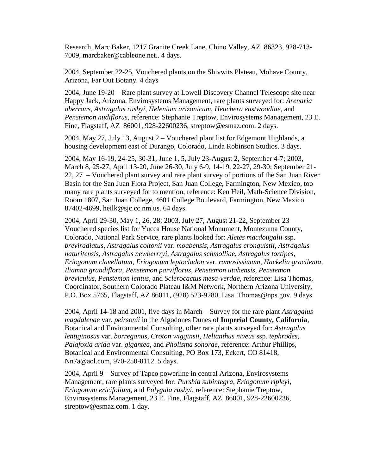Research, Marc Baker, 1217 Granite Creek Lane, Chino Valley, AZ 86323, 928-713- 7009, marcbaker@cableone.net.. 4 days.

2004, September 22-25, Vouchered plants on the Shivwits Plateau, Mohave County, Arizona, Far Out Botany. 4 days

2004, June 19-20 – Rare plant survey at Lowell Discovery Channel Telescope site near Happy Jack, Arizona, Envirosystems Management, rare plants surveyed for: *Arenaria aberrans*, *Astragalus rusbyi*, *Helenium arizonicum*, *Heuchera eastwoodiae*, and *Penstemon nudiflorus*, reference: Stephanie Treptow, Envirosystems Management, 23 E. Fine, Flagstaff, AZ 86001, 928-22600236, [streptow@esmaz.com.](mailto:streptow@esmaz.com) 2 days.

2004, May 27, July 13, August 2 – Vouchered plant list for Edgemont Highlands, a housing development east of Durango, Colorado, Linda Robinson Studios. 3 days.

2004, May 16-19, 24-25, 30-31, June 1, 5, July 23-August 2, September 4-7; 2003, March 8, 25-27, April 13-20, June 26-30, July 6-9, 14-19, 22-27, 29-30; September 21- 22, 27 – Vouchered plant survey and rare plant survey of portions of the San Juan River Basin for the San Juan Flora Project, San Juan College, Farmington, New Mexico, too many rare plants surveyed for to mention, reference: Ken Heil, Math-Science Division, Room 1807, San Juan College, 4601 College Boulevard, Farmington, New Mexico 87402-4699, heilk@sjc.cc.nm.us. 64 days.

2004, April 29-30, May 1, 26, 28; 2003, July 27, August 21-22, September 23 – Vouchered species list for Yucca House National Monument, Montezuma County, Colorado, National Park Service, rare plants looked for: *Aletes macdougalii* ssp. *breviradiatus*, *Astragalus coltonii* var. *moabensis*, *Astragalus cronquistii*, *Astragalus naturitensis*, *Astragalus newberrryi*, *Astragalus schmolliae*, *Astragalus tortipes*, *Eriogonum clavellatum*, *Eriogonum leptocladon* var. *ramosissimum*, *Hackelia gracilenta*, *Iliamna grandiflora*, *Penstemon parviflorus*, *Penstemon utahensis*, *Penstemon breviculus*, *Penstemon lentus*, and *Sclerocactus mesa-verdae*, reference: Lisa Thomas, Coordinator, Southern Colorado Plateau I&M Network, Northern Arizona University, P.O. Box 5765, Flagstaff, AZ 86011, (928) 523-9280, Lisa\_Thomas@nps.gov. 9 days.

2004, April 14-18 and 2001, five days in March – Survey for the rare plant *Astragalus magdalenae* var. *peirsonii* in the Algodones Dunes of **Imperial County, California**, Botanical and Environmental Consulting, other rare plants surveyed for: *Astragalus lentiginosus* var. *borreganus*, *Croton wigginsii*, *Helianthus niveus* ssp. *tephrodes*, *Palafoxia arida* var. *gigantea*, and *Pholisma sonorae*, reference: Arthur Phillips, Botanical and Environmental Consulting, PO Box 173, Eckert, CO 81418, [Nn7a@aol.com,](mailto:Nn7a@aol.com) 970-250-8112. 5 days.

2004, April 9 – Survey of Tapco powerline in central Arizona, Envirosystems Management, rare plants surveyed for: *Purshia subintegra*, *Eriogonum ripleyi*, *Eriogonum ericifolium*, and *Polygala rusbyi*, reference: Stephanie Treptow, Envirosystems Management, 23 E. Fine, Flagstaff, AZ 86001, 928-22600236, [streptow@esmaz.com.](mailto:streptow@esmaz.com) 1 day.